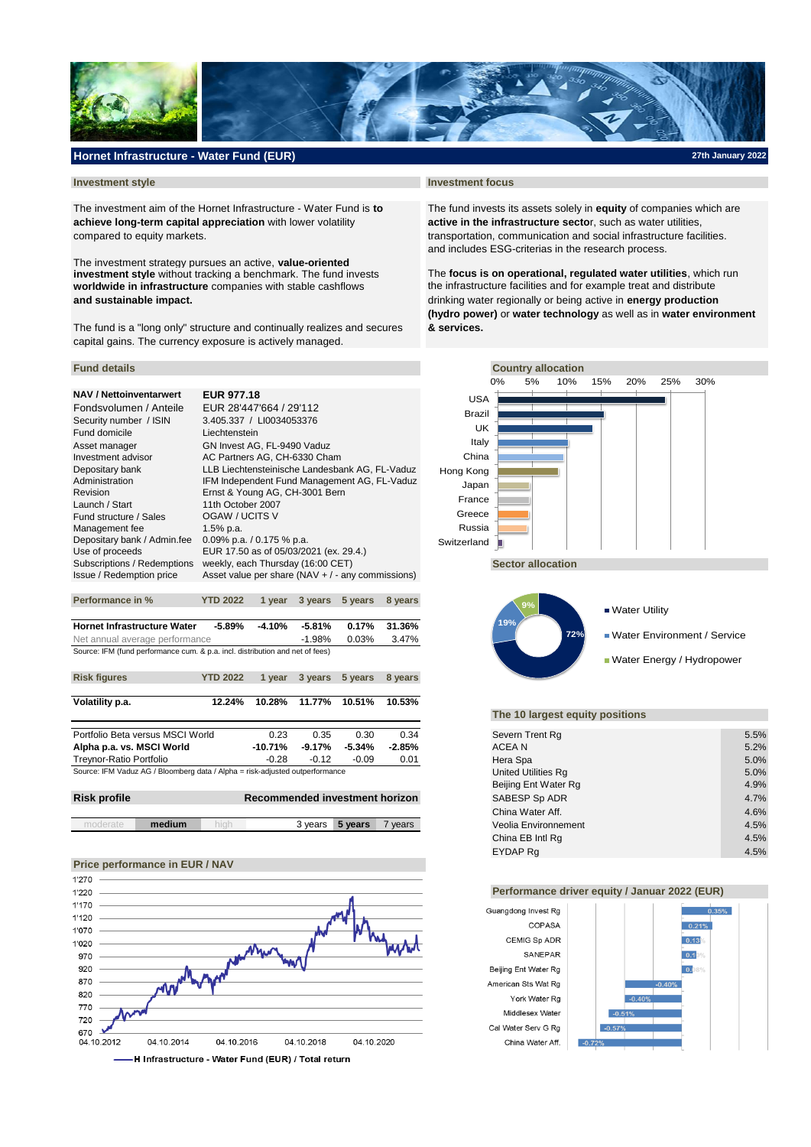

## **Hornet Infrastructure - Water Fund (EUR)**

The investment aim of the Hornet Infrastructure - Water Fund is **to** The fund invests its assets solely in **equity** of companies which are **achieve long-term capital appreciation** with lower volatility **active in the infrastructure secto**r, such as water utilities, compared to equity markets. the stransportation, communication and social infrastructure facilities.

**worldwide in infrastructure** companies with stable cashflows the infrastructure facilities and for example treat and distribute The investment strategy pursues an active, **value-oriented investment style** without tracking a benchmark. The fund invests

The fund is a "long only" structure and continually realizes and secures **& services.** capital gains. The currency exposure is actively managed.

# **NAV / Nettoinventarwert EUR 977.18**

| Fondsvolumen / Anteile      | EUR 28'447'664 / 29'112                              |
|-----------------------------|------------------------------------------------------|
| Security number / ISIN      | 3.405.337 / LI0034053376                             |
| <b>Fund domicile</b>        | Liechtenstein                                        |
| Asset manager               | GN Invest AG, FL-9490 Vaduz                          |
| Investment advisor          | AC Partners AG, CH-6330 Cham                         |
| Depositary bank             | LLB Liechtensteinische Landesbank AG, FL-Vaduz       |
| Administration              | IFM Independent Fund Management AG, FL-Vaduz         |
| Revision                    | Ernst & Young AG, CH-3001 Bern                       |
| Launch / Start              | 11th October 2007                                    |
| Fund structure / Sales      | OGAW / UCITS V                                       |
| Management fee              | $1.5%$ p.a.                                          |
| Depositary bank / Admin.fee | 0.09% p.a. $/$ 0.175 % p.a.                          |
| Use of proceeds             | EUR 17.50 as of 05/03/2021 (ex. 29.4.)               |
| Subscriptions / Redemptions | weekly, each Thursday (16:00 CET)                    |
| Issue / Redemption price    | Asset value per share ( $NAV + / -$ any commissions) |
|                             |                                                      |

| <b>Hornet Infrastructure Water</b>                                            | -5.89%    | -4.10% | -5.81% |  | $0.17\%$ 31.36% |  |
|-------------------------------------------------------------------------------|-----------|--------|--------|--|-----------------|--|
| Net annual average performance                                                | $-1.98\%$ | 0.03%  | 3.47%  |  |                 |  |
| Source: IFM (fund performance cum. & p.a. incl. distribution and net of fees) |           |        |        |  |                 |  |

**Performance in % YTD 2022 1 year 3 years 5 years 8 years**

| <b>Risk figures</b>                                                          | <b>YTD 2022</b> | 1 vear  | 3 years   | 5 years       | 8 years  |
|------------------------------------------------------------------------------|-----------------|---------|-----------|---------------|----------|
| Volatility p.a.                                                              | 12.24%          | 10.28%  |           | 11.77% 10.51% | 10.53%   |
|                                                                              |                 |         |           |               |          |
| Portfolio Beta versus MSCI World                                             |                 | 0.23    | 0.35      | 0.30          | 0.34     |
| Alpha p.a. vs. MSCI World                                                    |                 | -10.71% | $-9.17\%$ | $-5.34\%$     | $-2.85%$ |
| Treynor-Ratio Portfolio                                                      |                 | $-0.28$ | $-0.12$   | $-0.09$       | 0.01     |
| Source: IFM Vaduz AG / Bloomberg data / Alpha = risk-adjusted outperformance |                 |         |           |               |          |

| <b>Risk profile</b> | Recommended investment horizon | SABESP Sp ADR   | 4.7%  |
|---------------------|--------------------------------|-----------------|-------|
|                     |                                | Ching Water Aff | 1.60/ |

| medium | . | 3 vears<br>5 vears | vears | Veolia Environnement | 4.5%<br>___                   |
|--------|---|--------------------|-------|----------------------|-------------------------------|
|        |   |                    |       | ____<br>---          | the control of the control of |

# **Price performance in EUR / NAV**



#### **Investment style Investment focus**

and includes ESG-criterias in the research process.

The **focus is on operational, regulated water utilities**, which run **and sustainable impact.** drinking water regionally or being active in **energy production (hydro power)** or **water technology** as well as in **water environment** 





### **The 10 largest equity positions**

| Severn Trent Rg      | 5.5% |
|----------------------|------|
| ACEA N               | 5.2% |
| Hera Spa             | 5.0% |
| United Utilities Rg  | 5.0% |
| Beijing Ent Water Rg | 4.9% |
| SABESP Sp ADR        | 4.7% |
| China Water Aff.     | 4.6% |
| Veolia Environnement | 4.5% |
| China EB Intl Rg     | 4.5% |
| <b>EYDAP Ra</b>      | 4.5% |

### **Performance driver equity / Januar 2022 (EUR)**